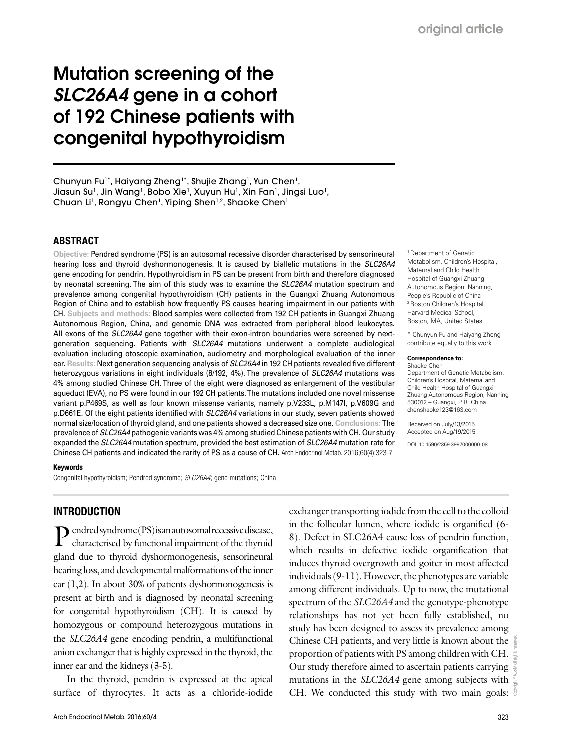# Mutation screening of the *SLC26A4* gene in a cohort of 192 Chinese patients with congenital hypothyroidism

Chunyun Fu<sup>1\*</sup>, Haiyang Zheng<sup>1\*</sup>, Shujie Zhang<sup>1</sup>, Yun Chen<sup>1</sup>, Jiasun Su<sup>1</sup>, Jin Wang<sup>1</sup>, Bobo Xie<sup>1</sup>, Xuyun Hu<sup>1</sup>, Xin Fan<sup>1</sup>, Jingsi Luo<sup>1</sup>, Chuan Li<sup>1</sup>, Rongyu Chen<sup>1</sup>, Yiping Shen<sup>1,2</sup>, Shaoke Chen<sup>1</sup>

#### ABSTRACT

**Objective:** Pendred syndrome (PS) is an autosomal recessive disorder characterised by sensorineural hearing loss and thyroid dyshormonogenesis. It is caused by biallelic mutations in the *SLC26A4*  gene encoding for pendrin. Hypothyroidism in PS can be present from birth and therefore diagnosed by neonatal screening. The aim of this study was to examine the *SLC26A4* mutation spectrum and prevalence among congenital hypothyroidism (CH) patients in the Guangxi Zhuang Autonomous Region of China and to establish how frequently PS causes hearing impairment in our patients with CH. **Subjects and methods:** Blood samples were collected from 192 CH patients in Guangxi Zhuang Autonomous Region, China, and genomic DNA was extracted from peripheral blood leukocytes. All exons of the *SLC26A4* gene together with their exon-intron boundaries were screened by nextgeneration sequencing. Patients with *SLC26A4* mutations underwent a complete audiological evaluation including otoscopic examination, audiometry and morphological evaluation of the inner ear. **Results:** Next generation sequencing analysis of *SLC26A4* in 192 CH patients revealed five different heterozygous variations in eight individuals (8/192, 4%). The prevalence of *SLC26A4* mutations was 4% among studied Chinese CH. Three of the eight were diagnosed as enlargement of the vestibular aqueduct (EVA), no PS were found in our 192 CH patients. The mutations included one novel missense variant p.P469S, as well as four known missense variants, namely p.V233L, p.M147I, p.V609G and p.D661E. Of the eight patients identified with *SLC26A4* variations in our study, seven patients showed normal size/location of thyroid gland, and one patients showed a decreased size one. **Conclusions:** The prevalence of *SLC26A4* pathogenic variants was 4% among studied Chinese patients with CH. Our study expanded the *SLC26A4* mutation spectrum, provided the best estimation of *SLC26A4* mutation rate for Chinese CH patients and indicated the rarity of PS as a cause of CH. Arch Endocrinol Metab. 2016;60(4):323-7

#### Keywords

Congenital hypothyroidism; Pendred syndrome; *SLC26A4*; gene mutations; China

INTRODUCTION

Pendred syndrome (PS) is an autosomal recessive disease, characterised by functional impairment of the thyroid gland due to thyroid dyshormonogenesis, sensorineural hearing loss, and developmental malformations of the inner ear (1,2). In about 30% of patients dyshormonogenesis is present at birth and is diagnosed by neonatal screening for congenital hypothyroidism (CH). It is caused by homozygous or compound heterozygous mutations in the *SLC26A4* gene encoding pendrin, a multifunctional anion exchanger that is highly expressed in the thyroid, the inner ear and the kidneys (3-5).

In the thyroid, pendrin is expressed at the apical surface of thyrocytes. It acts as a chloride-iodide

Copyright© AE&M all rights reserved. exchanger transporting iodide from the cell to the colloid in the follicular lumen, where iodide is organified (6- 8). Defect in SLC26A4 cause loss of pendrin function, which results in defective iodide organification that induces thyroid overgrowth and goiter in most affected individuals (9-11). However, the phenotypes are variable among different individuals. Up to now, the mutational spectrum of the *SLC26A4* and the genotype-phenotype relationships has not yet been fully established, no study has been designed to assess its prevalence among Chinese CH patients, and very little is known about the proportion of patients with PS among children with CH. Our study therefore aimed to ascertain patients carrying mutations in the *SLC26A4* gene among subjects with CH. We conducted this study with two main goals:  $\overline{\overline{S}}$ 

<sup>1</sup> Department of Genetic Metabolism, Children's Hospital, Maternal and Child Health Hospital of Guangxi Zhuang Autonomous Region, Nanning, People's Republic of China 2 Boston Children's Hospital, Harvard Medical School, Boston, MA, United States

\* Chunyun Fu and Haiyang Zheng contribute equally to this work

#### **Correspondence to:**

Shaoke Chen Department of Genetic Metabolism, Children's Hospital, Maternal and Child Health Hospital of Guangxi Zhuang Autonomous Region, Nanning 530012 – Guangxi, P. R. China chenshaoke123@163.com

Received on July/13/2015 Accepted on Aug/19/2015

DOI: 10.1590/2359-3997000000108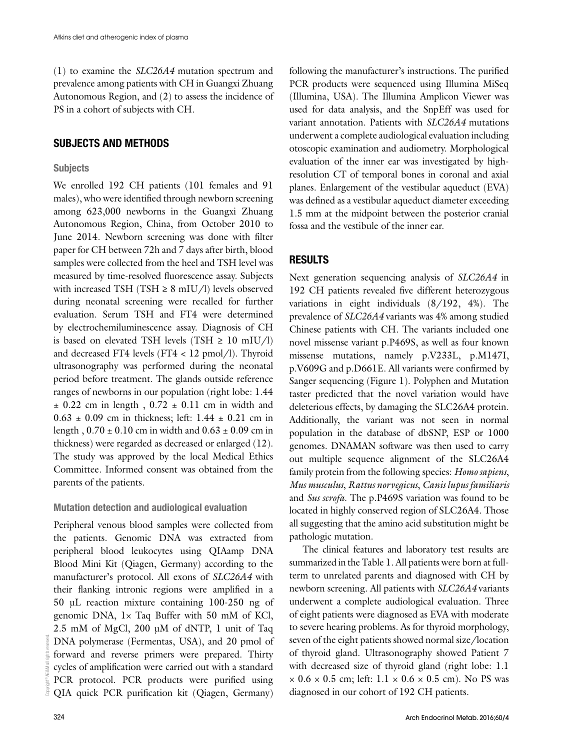(1) to examine the *SLC26A4* mutation spectrum and prevalence among patients with CH in Guangxi Zhuang Autonomous Region, and (2) to assess the incidence of PS in a cohort of subjects with CH.

## SUBJECTS AND METHODS

### **Subjects**

We enrolled 192 CH patients (101 females and 91 males), who were identified through newborn screening among 623,000 newborns in the Guangxi Zhuang Autonomous Region, China, from October 2010 to June 2014. Newborn screening was done with filter paper for CH between 72h and 7 days after birth, blood samples were collected from the heel and TSH level was measured by time-resolved fluorescence assay. Subjects with increased TSH (TSH  $\geq$  8 mIU/l) levels observed during neonatal screening were recalled for further evaluation. Serum TSH and FT4 were determined by electrochemiluminescence assay. Diagnosis of CH is based on elevated TSH levels (TSH  $\geq 10$  mIU/l) and decreased FT4 levels (FT4 < 12 pmol/l). Thyroid ultrasonography was performed during the neonatal period before treatment. The glands outside reference ranges of newborns in our population (right lobe: 1.44  $\pm$  0.22 cm in length, 0.72  $\pm$  0.11 cm in width and  $0.63 \pm 0.09$  cm in thickness; left: 1.44  $\pm$  0.21 cm in length,  $0.70 \pm 0.10$  cm in width and  $0.63 \pm 0.09$  cm in thickness) were regarded as decreased or enlarged (12). The study was approved by the local Medical Ethics Committee. Informed consent was obtained from the parents of the patients.

### Mutation detection and audiological evaluation

Peripheral venous blood samples were collected from the patients. Genomic DNA was extracted from peripheral blood leukocytes using QIAamp DNA Blood Mini Kit (Qiagen, Germany) according to the manufacturer's protocol. All exons of *SLC26A4* with their flanking intronic regions were amplified in a 50 μL reaction mixture containing 100-250 ng of genomic DNA, 1× Taq Buffer with 50 mM of KCl, 2.5 mM of MgCl, 200 μM of dNTP, 1 unit of Taq DNA polymerase (Fermentas, USA), and 20 pmol of forward and reverse primers were prepared. Thirty cycles of amplification were carried out with a standard PCR protocol. PCR products were purified using QIA quick PCR purification kit (Qiagen, Germany)

following the manufacturer's instructions. The purified PCR products were sequenced using Illumina MiSeq (Illumina, USA). The Illumina Amplicon Viewer was used for data analysis, and the SnpEff was used for variant annotation. Patients with *SLC26A4* mutations underwent a complete audiological evaluation including otoscopic examination and audiometry. Morphological evaluation of the inner ear was investigated by highresolution CT of temporal bones in coronal and axial planes. Enlargement of the vestibular aqueduct (EVA) was defined as a vestibular aqueduct diameter exceeding 1.5 mm at the midpoint between the posterior cranial fossa and the vestibule of the inner ear.

## RESULTS

Next generation sequencing analysis of *SLC26A4* in 192 CH patients revealed five different heterozygous variations in eight individuals (8/192, 4%). The prevalence of *SLC26A4* variants was 4% among studied Chinese patients with CH. The variants included one novel missense variant p.P469S, as well as four known missense mutations, namely p.V233L, p.M147I, p.V609G and p.D661E. All variants were confirmed by Sanger sequencing (Figure 1). Polyphen and Mutation taster predicted that the novel variation would have deleterious effects, by damaging the SLC26A4 protein. Additionally, the variant was not seen in normal population in the database of dbSNP, ESP or 1000 genomes. DNAMAN software was then used to carry out multiple sequence alignment of the SLC26A4 family protein from the following species: *Homo sapiens*, *Mus musculus*, *Rattus norvegicus*, *Canis lupus familiaris* and *Sus scrofa*. The p.P469S variation was found to be located in highly conserved region of SLC26A4. Those all suggesting that the amino acid substitution might be pathologic mutation.

The clinical features and laboratory test results are summarized in the Table 1. All patients were born at fullterm to unrelated parents and diagnosed with CH by newborn screening. All patients with *SLC26A4* variants underwent a complete audiological evaluation. Three of eight patients were diagnosed as EVA with moderate to severe hearing problems. As for thyroid morphology, seven of the eight patients showed normal size/location of thyroid gland. Ultrasonography showed Patient 7 with decreased size of thyroid gland (right lobe: 1.1  $\times$  0.6  $\times$  0.5 cm; left: 1.1  $\times$  0.6  $\times$  0.5 cm). No PS was diagnosed in our cohort of 192 CH patients.

Copyright© AE&M all rights reserved.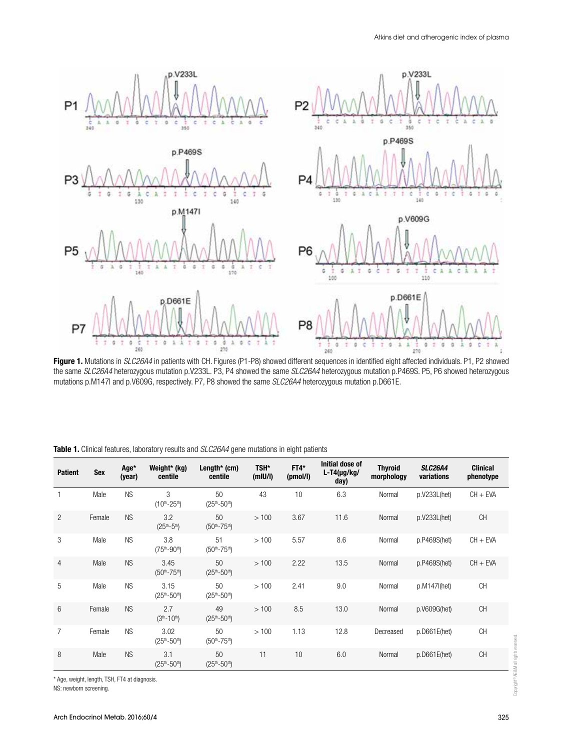

Figure 1. Mutations in *SLC26A4* in patients with CH. Figures (P1-P8) showed different sequences in identified eight affected individuals. P1, P2 showed the same *SLC26A4* heterozygous mutation p.V233L. P3, P4 showed the same *SLC26A4* heterozygous mutation p.P469S. P5, P6 showed heterozygous mutations p.M147I and p.V609G, respectively. P7, P8 showed the same *SLC26A4* heterozygous mutation p.D661E.

| <b>Patient</b> | <b>Sex</b> | Age*<br>(year) | Weight* (kg)<br>centile    | Length* $(cm)$<br>centile   | TSH*<br>(m U/I) | $FT4*$<br>(pmol/l) | Initial dose of<br>$L-T4(\mu g/kg/$<br>day) | <b>Thyroid</b><br>morphology | <b>SLC26A4</b><br>variations | <b>Clinical</b><br>phenotype |
|----------------|------------|----------------|----------------------------|-----------------------------|-----------------|--------------------|---------------------------------------------|------------------------------|------------------------------|------------------------------|
|                | Male       | <b>NS</b>      | 3<br>$(10^{th} - 25^{th})$ | 50<br>$(25th-50th)$         | 43              | 10                 | 6.3                                         | Normal                       | p.V233L(het)                 | $CH + EVA$                   |
| $\overline{2}$ | Female     | <b>NS</b>      | 3.2<br>$(25th-5th)$        | 50<br>$(50th-75th)$         | >100            | 3.67               | 11.6                                        | Normal                       | p.V233L(het)                 | <b>CH</b>                    |
| 3              | Male       | <b>NS</b>      | 3.8<br>$(75^{th}-90^{th})$ | 51<br>$(50th-75th)$         | >100            | 5.57               | 8.6                                         | Normal                       | p.P469S(het)                 | $CH + EVA$                   |
| 4              | Male       | <b>NS</b>      | 3.45<br>$(50th - 75th)$    | 50<br>$(25th-50th)$         | >100            | 2.22               | 13.5                                        | Normal                       | p.P469S(het)                 | $CH + EVA$                   |
| 5              | Male       | <b>NS</b>      | 3.15<br>$(25th-50th)$      | 50<br>$(25th-50th)$         | >100            | 2.41               | 9.0                                         | Normal                       | $p.M147$ l(het)              | <b>CH</b>                    |
| 6              | Female     | <b>NS</b>      | 2.7<br>$(3th - 10th)$      | 49<br>$(25th-50th)$         | >100            | 8.5                | 13.0                                        | Normal                       | p.V609G(het)                 | <b>CH</b>                    |
| $\overline{7}$ | Female     | <b>NS</b>      | 3.02<br>$(25th-50th)$      | 50<br>$(50^{th} - 75^{th})$ | >100            | 1.13               | 12.8                                        | Decreased                    | p.D661E(het)                 | CH                           |
| 8              | Male       | <b>NS</b>      | 3.1<br>$(25th-50th)$       | 50<br>$(25th-50th)$         | 11              | 10                 | 6.0                                         | Normal                       | p.D661E(het)                 | <b>CH</b>                    |

Table 1. Clinical features, laboratory results and *SLC26A4* gene mutations in eight patients

\* Age, weight, length, TSH, FT4 at diagnosis.

NS: newborn screening.

Copyright© AE&M all rights reserved.

Copyright® AE&M all rights reserved.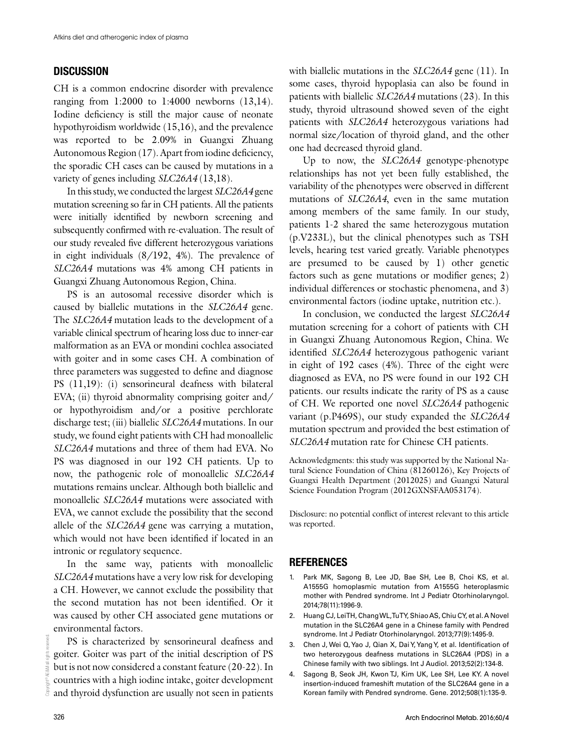#### **DISCUSSION**

CH is a common endocrine disorder with prevalence ranging from 1:2000 to 1:4000 newborns (13,14). Iodine deficiency is still the major cause of neonate hypothyroidism worldwide (15,16), and the prevalence was reported to be 2.09% in Guangxi Zhuang Autonomous Region (17). Apart from iodine deficiency, the sporadic CH cases can be caused by mutations in a variety of genes including *SLC26A4* (13,18).

In this study, we conducted the largest *SLC26A4* gene mutation screening so far in CH patients. All the patients were initially identified by newborn screening and subsequently confirmed with re-evaluation. The result of our study revealed five different heterozygous variations in eight individuals (8/192, 4%). The prevalence of *SLC26A4* mutations was 4% among CH patients in Guangxi Zhuang Autonomous Region, China.

PS is an autosomal recessive disorder which is caused by biallelic mutations in the *SLC26A4* gene. The *SLC26A4* mutation leads to the development of a variable clinical spectrum of hearing loss due to inner-ear malformation as an EVA or mondini cochlea associated with goiter and in some cases CH. A combination of three parameters was suggested to define and diagnose PS (11,19): (i) sensorineural deafness with bilateral EVA; (ii) thyroid abnormality comprising goiter and/ or hypothyroidism and/or a positive perchlorate discharge test; (iii) biallelic *SLC26A4* mutations. In our study, we found eight patients with CH had monoallelic *SLC26A4* mutations and three of them had EVA. No PS was diagnosed in our 192 CH patients. Up to now, the pathogenic role of monoallelic *SLC26A4* mutations remains unclear. Although both biallelic and monoallelic *SLC26A4* mutations were associated with EVA, we cannot exclude the possibility that the second allele of the *SLC26A4* gene was carrying a mutation, which would not have been identified if located in an intronic or regulatory sequence.

In the same way, patients with monoallelic *SLC26A4* mutations have a very low risk for developing a CH. However, we cannot exclude the possibility that the second mutation has not been identified. Or it was caused by other CH associated gene mutations or environmental factors.

PS is characterized by sensorineural deafness and goiter. Goiter was part of the initial description of PS but is not now considered a constant feature (20-22). In countries with a high iodine intake, goiter development and thyroid dysfunction are usually not seen in patients

with biallelic mutations in the *SLC26A4* gene (11). In some cases, thyroid hypoplasia can also be found in patients with biallelic *SLC26A4* mutations (23). In this study, thyroid ultrasound showed seven of the eight patients with *SLC26A4* heterozygous variations had normal size/location of thyroid gland, and the other one had decreased thyroid gland.

Up to now, the *SLC26A4* genotype-phenotype relationships has not yet been fully established, the variability of the phenotypes were observed in different mutations of *SLC26A4*, even in the same mutation among members of the same family. In our study, patients 1-2 shared the same heterozygous mutation (p.V233L), but the clinical phenotypes such as TSH levels, hearing test varied greatly. Variable phenotypes are presumed to be caused by 1) other genetic factors such as gene mutations or modifier genes; 2) individual differences or stochastic phenomena, and 3) environmental factors (iodine uptake, nutrition etc.).

In conclusion, we conducted the largest *SLC26A4* mutation screening for a cohort of patients with CH in Guangxi Zhuang Autonomous Region, China. We identified *SLC26A4* heterozygous pathogenic variant in eight of 192 cases (4%). Three of the eight were diagnosed as EVA, no PS were found in our 192 CH patients. our results indicate the rarity of PS as a cause of CH. We reported one novel *SLC26A4* pathogenic variant (p.P469S), our study expanded the *SLC26A4* mutation spectrum and provided the best estimation of *SLC26A4* mutation rate for Chinese CH patients.

Acknowledgments: this study was supported by the National Natural Science Foundation of China (81260126), Key Projects of Guangxi Health Department (2012025) and Guangxi Natural Science Foundation Program (2012GXNSFAA053174).

Disclosure: no potential conflict of interest relevant to this article was reported.

#### **REFERENCES**

- 1. Park MK, Sagong B, Lee JD, Bae SH, Lee B, Choi KS, et al. A1555G homoplasmic mutation from A1555G heteroplasmic mother with Pendred syndrome. Int J Pediatr Otorhinolaryngol. 2014;78(11):1996-9.
- 2. Huang CJ, Lei TH, Chang WL, Tu TY, Shiao AS, Chiu CY, et al. A Novel mutation in the SLC26A4 gene in a Chinese family with Pendred syndrome. Int J Pediatr Otorhinolaryngol. 2013;77(9):1495-9.
- 3. Chen J, Wei Q, Yao J, Qian X, Dai Y, Yang Y, et al. Identification of two heterozygous deafness mutations in SLC26A4 (PDS) in a Chinese family with two siblings. Int J Audiol. 2013;52(2):134-8.
- 4. Sagong B, Seok JH, Kwon TJ, Kim UK, Lee SH, Lee KY. A novel insertion-induced frameshift mutation of the SLC26A4 gene in a Korean family with Pendred syndrome. Gene. 2012;508(1):135-9.

Copyright© AE&M all rights reserved.